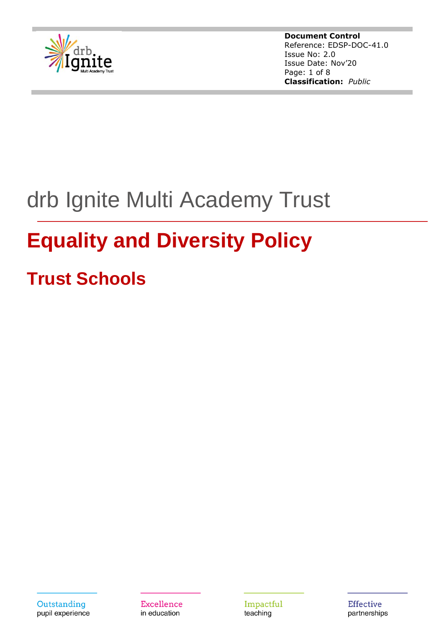

**Document Control** Reference: EDSP-DOC-41.0 Issue No: 2.0 Issue Date: Nov'20 Page: 1 of 8 **Classification:** *Public*

# drb Ignite Multi Academy Trust

## **Equality and Diversity Policy**

## **Trust Schools**

Outstanding pupil experience **Excellence** in education

Impactful teaching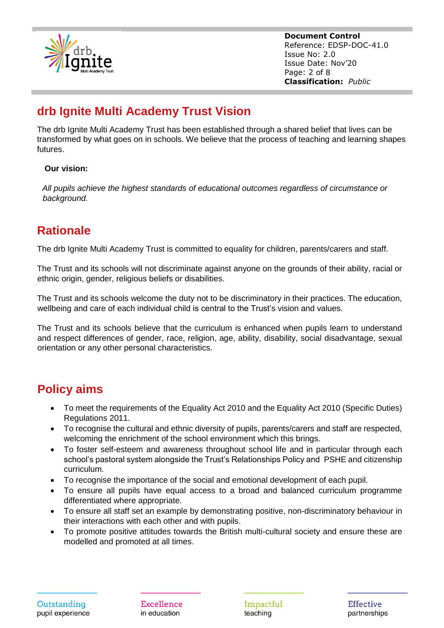

**Document Control** Reference: EDSP-DOC-41.0 Issue No: 2.0 Issue Date: Nov'20 Page: 2 of 8 **Classification:** *Public*

## **drb Ignite Multi Academy Trust Vision**

The drb Ignite Multi Academy Trust has been established through a shared belief that lives can be transformed by what goes on in schools. We believe that the process of teaching and learning shapes futures.

#### **Our vision:**

*All pupils achieve the highest standards of educational outcomes regardless of circumstance or background.*

## **Rationale**

The drb Ignite Multi Academy Trust is committed to equality for children, parents/carers and staff.

The Trust and its schools will not discriminate against anyone on the grounds of their ability, racial or ethnic origin, gender, religious beliefs or disabilities.

The Trust and its schools welcome the duty not to be discriminatory in their practices. The education, wellbeing and care of each individual child is central to the Trust's vision and values.

The Trust and its schools believe that the curriculum is enhanced when pupils learn to understand and respect differences of gender, race, religion, age, ability, disability, social disadvantage, sexual orientation or any other personal characteristics.

## **Policy aims**

- To meet the requirements of the Equality Act 2010 and the Equality Act 2010 (Specific Duties) Regulations 2011.
- To recognise the cultural and ethnic diversity of pupils, parents/carers and staff are respected, welcoming the enrichment of the school environment which this brings.
- To foster self-esteem and awareness throughout school life and in particular through each school's pastoral system alongside the Trust's Relationships Policy and PSHE and citizenship curriculum.
- To recognise the importance of the social and emotional development of each pupil.
- To ensure all pupils have equal access to a broad and balanced curriculum programme differentiated where appropriate.
- To ensure all staff set an example by demonstrating positive, non-discriminatory behaviour in their interactions with each other and with pupils.
- To promote positive attitudes towards the British multi-cultural society and ensure these are modelled and promoted at all times.

**Excellence** in education

Impactful teaching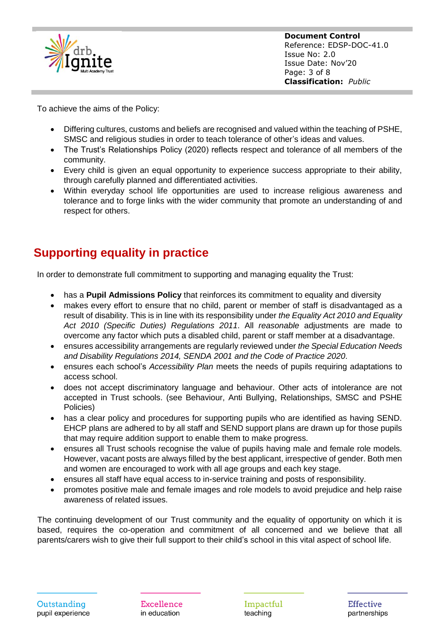

**Document Control** Reference: EDSP-DOC-41.0 Issue No: 2.0 Issue Date: Nov'20 Page: 3 of 8 **Classification:** *Public*

To achieve the aims of the Policy:

- Differing cultures, customs and beliefs are recognised and valued within the teaching of PSHE, SMSC and religious studies in order to teach tolerance of other's ideas and values.
- The Trust's Relationships Policy (2020) reflects respect and tolerance of all members of the community.
- Every child is given an equal opportunity to experience success appropriate to their ability, through carefully planned and differentiated activities.
- Within everyday school life opportunities are used to increase religious awareness and tolerance and to forge links with the wider community that promote an understanding of and respect for others.

## **Supporting equality in practice**

In order to demonstrate full commitment to supporting and managing equality the Trust:

- has a **Pupil Admissions Policy** that reinforces its commitment to equality and diversity
- makes every effort to ensure that no child, parent or member of staff is disadvantaged as a result of disability. This is in line with its responsibility under *the Equality Act 2010 and Equality Act 2010 (Specific Duties) Regulations 2011*. All *reasonable* adjustments are made to overcome any factor which puts a disabled child, parent or staff member at a disadvantage.
- ensures accessibility arrangements are regularly reviewed under *the Special Education Needs and Disability Regulations 2014, SENDA 2001 and the Code of Practice 2020*.
- ensures each school's *Accessibility Plan* meets the needs of pupils requiring adaptations to access school.
- does not accept discriminatory language and behaviour. Other acts of intolerance are not accepted in Trust schools. (see Behaviour, Anti Bullying, Relationships, SMSC and PSHE Policies)
- has a clear policy and procedures for supporting pupils who are identified as having SEND. EHCP plans are adhered to by all staff and SEND support plans are drawn up for those pupils that may require addition support to enable them to make progress.
- ensures all Trust schools recognise the value of pupils having male and female role models. However, vacant posts are always filled by the best applicant, irrespective of gender. Both men and women are encouraged to work with all age groups and each key stage.
- ensures all staff have equal access to in-service training and posts of responsibility.
- promotes positive male and female images and role models to avoid prejudice and help raise awareness of related issues.

The continuing development of our Trust community and the equality of opportunity on which it is based, requires the co-operation and commitment of all concerned and we believe that all parents/carers wish to give their full support to their child's school in this vital aspect of school life.

**Excellence** in education

Impactful teaching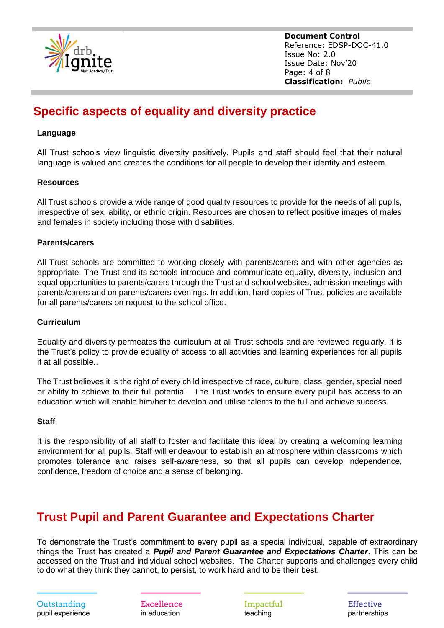

**Document Control** Reference: EDSP-DOC-41.0 Issue No: 2.0 Issue Date: Nov'20 Page: 4 of 8 **Classification:** *Public*

## **Specific aspects of equality and diversity practice**

#### **Language**

All Trust schools view linguistic diversity positively. Pupils and staff should feel that their natural language is valued and creates the conditions for all people to develop their identity and esteem.

#### **Resources**

All Trust schools provide a wide range of good quality resources to provide for the needs of all pupils, irrespective of sex, ability, or ethnic origin. Resources are chosen to reflect positive images of males and females in society including those with disabilities.

#### **Parents/carers**

All Trust schools are committed to working closely with parents/carers and with other agencies as appropriate. The Trust and its schools introduce and communicate equality, diversity, inclusion and equal opportunities to parents/carers through the Trust and school websites, admission meetings with parents/carers and on parents/carers evenings. In addition, hard copies of Trust policies are available for all parents/carers on request to the school office.

#### **Curriculum**

Equality and diversity permeates the curriculum at all Trust schools and are reviewed regularly. It is the Trust's policy to provide equality of access to all activities and learning experiences for all pupils if at all possible..

The Trust believes it is the right of every child irrespective of race, culture, class, gender, special need or ability to achieve to their full potential. The Trust works to ensure every pupil has access to an education which will enable him/her to develop and utilise talents to the full and achieve success.

#### **Staff**

It is the responsibility of all staff to foster and facilitate this ideal by creating a welcoming learning environment for all pupils. Staff will endeavour to establish an atmosphere within classrooms which promotes tolerance and raises self-awareness, so that all pupils can develop independence, confidence, freedom of choice and a sense of belonging.

## **Trust Pupil and Parent Guarantee and Expectations Charter**

To demonstrate the Trust's commitment to every pupil as a special individual, capable of extraordinary things the Trust has created a *Pupil and Parent Guarantee and Expectations Charter*. This can be accessed on the Trust and individual school websites. The Charter supports and challenges every child to do what they think they cannot, to persist, to work hard and to be their best.

Outstanding pupil experience **Excellence** in education

Impactful teaching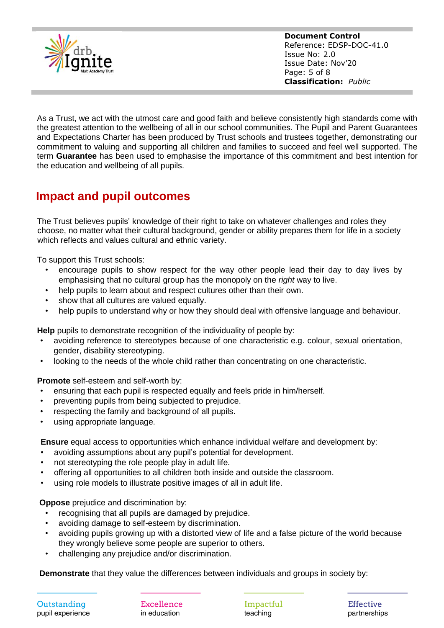

**Document Control** Reference: EDSP-DOC-41.0 Issue No: 2.0 Issue Date: Nov'20 Page: 5 of 8 **Classification:** *Public*

As a Trust, we act with the utmost care and good faith and believe consistently high standards come with the greatest attention to the wellbeing of all in our school communities. The Pupil and Parent Guarantees and Expectations Charter has been produced by Trust schools and trustees together, demonstrating our commitment to valuing and supporting all children and families to succeed and feel well supported. The term **Guarantee** has been used to emphasise the importance of this commitment and best intention for the education and wellbeing of all pupils.

## **Impact and pupil outcomes**

The Trust believes pupils' knowledge of their right to take on whatever challenges and roles they choose, no matter what their cultural background, gender or ability prepares them for life in a society which reflects and values cultural and ethnic variety.

To support this Trust schools:

- encourage pupils to show respect for the way other people lead their day to day lives by emphasising that no cultural group has the monopoly on the *right* way to live.
- help pupils to learn about and respect cultures other than their own.
- show that all cultures are valued equally.
- help pupils to understand why or how they should deal with offensive language and behaviour.

**Help** pupils to demonstrate recognition of the individuality of people by:

- avoiding reference to stereotypes because of one characteristic e.g. colour, sexual orientation, gender, disability stereotyping.
- looking to the needs of the whole child rather than concentrating on one characteristic.

**Promote** self-esteem and self-worth by:

- ensuring that each pupil is respected equally and feels pride in him/herself.
- preventing pupils from being subjected to prejudice.
- respecting the family and background of all pupils.
- using appropriate language.

**Ensure** equal access to opportunities which enhance individual welfare and development by:

- avoiding assumptions about any pupil's potential for development.
- not stereotyping the role people play in adult life.
- offering all opportunities to all children both inside and outside the classroom.
- using role models to illustrate positive images of all in adult life.

**Oppose** prejudice and discrimination by:

- recognising that all pupils are damaged by prejudice.
- avoiding damage to self-esteem by discrimination.
- avoiding pupils growing up with a distorted view of life and a false picture of the world because they wrongly believe some people are superior to others.
- challenging any prejudice and/or discrimination.

**Demonstrate** that they value the differences between individuals and groups in society by:

Outstanding pupil experience

**Excellence** in education

Impactful teaching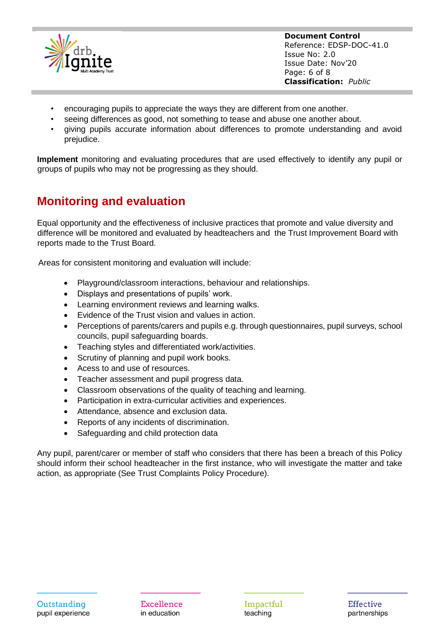

**Document Control** Reference: EDSP-DOC-41.0 Issue No: 2.0 Issue Date: Nov'20 Page: 6 of 8 **Classification:** *Public*

- encouraging pupils to appreciate the ways they are different from one another.
- seeing differences as good, not something to tease and abuse one another about.
- giving pupils accurate information about differences to promote understanding and avoid prejudice.

**Implement** monitoring and evaluating procedures that are used effectively to identify any pupil or groups of pupils who may not be progressing as they should.

## **Monitoring and evaluation**

Equal opportunity and the effectiveness of inclusive practices that promote and value diversity and difference will be monitored and evaluated by headteachers and the Trust Improvement Board with reports made to the Trust Board.

Areas for consistent monitoring and evaluation will include:

- Playground/classroom interactions, behaviour and relationships.
- Displays and presentations of pupils' work.
- Learning environment reviews and learning walks.
- Evidence of the Trust vision and values in action.
- Perceptions of parents/carers and pupils e.g. through questionnaires, pupil surveys, school councils, pupil safeguarding boards.
- Teaching styles and differentiated work/activities.
- Scrutiny of planning and pupil work books.
- Acess to and use of resources.
- Teacher assessment and pupil progress data.
- Classroom observations of the quality of teaching and learning.
- Participation in extra-curricular activities and experiences.
- Attendance, absence and exclusion data.
- Reports of any incidents of discrimination.
- Safeguarding and child protection data

Any pupil, parent/carer or member of staff who considers that there has been a breach of this Policy should inform their school headteacher in the first instance, who will investigate the matter and take action, as appropriate (See Trust Complaints Policy Procedure).

**Excellence** in education

Impactful teaching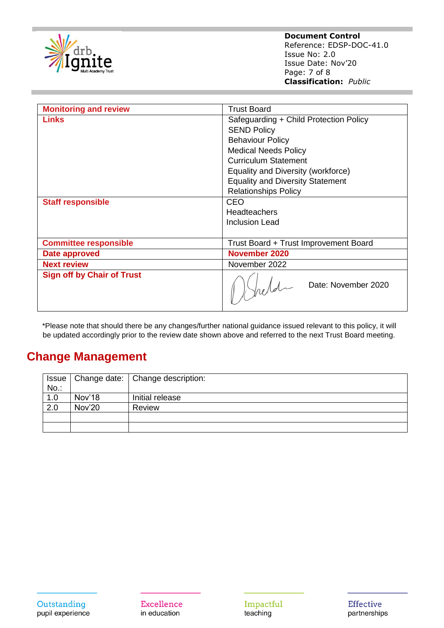

| <b>Monitoring and review</b>      | <b>Trust Board</b>                      |
|-----------------------------------|-----------------------------------------|
| <b>Links</b>                      | Safeguarding + Child Protection Policy  |
|                                   | <b>SEND Policy</b>                      |
|                                   | <b>Behaviour Policy</b>                 |
|                                   | <b>Medical Needs Policy</b>             |
|                                   | <b>Curriculum Statement</b>             |
|                                   | Equality and Diversity (workforce)      |
|                                   | <b>Equality and Diversity Statement</b> |
|                                   | <b>Relationships Policy</b>             |
| <b>Staff responsible</b>          | CEO                                     |
|                                   | <b>Headteachers</b>                     |
|                                   | <b>Inclusion Lead</b>                   |
|                                   |                                         |
| <b>Committee responsible</b>      | Trust Board + Trust Improvement Board   |
| Date approved                     | November 2020                           |
| <b>Next review</b>                | November 2022                           |
| <b>Sign off by Chair of Trust</b> | Date: November 2020                     |

\*Please note that should there be any changes/further national guidance issued relevant to this policy, it will be updated accordingly prior to the review date shown above and referred to the next Trust Board meeting.

### **Change Management**

| <b>Issue</b><br>$No.$ : |        | Change date:   Change description: |
|-------------------------|--------|------------------------------------|
| 1.0                     | Nov'18 | Initial release                    |
| 2.0                     | Nov'20 | Review                             |
|                         |        |                                    |
|                         |        |                                    |

**Excellence** in education

Impactful teaching